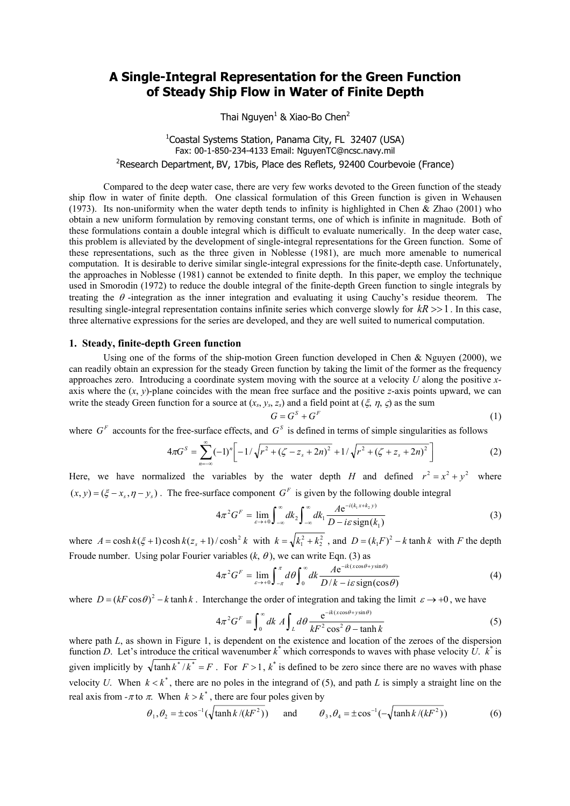## **A Single-Integral Representation for the Green Function of Steady Ship Flow in Water of Finite Depth**

Thai Nguyen<sup>1</sup> & Xiao-Bo Chen<sup>2</sup>

# <sup>1</sup>Coastal Systems Station, Panama City, FL 32407 (USA) Fax: 00-1-850-234-4133 Email: NguyenTC@ncsc.navy.mil

<sup>2</sup>Research Department, BV, 17bis, Place des Reflets, 92400 Courbevoie (France)

Compared to the deep water case, there are very few works devoted to the Green function of the steady ship flow in water of finite depth. One classical formulation of this Green function is given in Wehausen (1973). Its non-uniformity when the water depth tends to infinity is highlighted in Chen  $\&$  Zhao (2001) who obtain a new uniform formulation by removing constant terms, one of which is infinite in magnitude. Both of these formulations contain a double integral which is difficult to evaluate numerically. In the deep water case, this problem is alleviated by the development of single-integral representations for the Green function. Some of these representations, such as the three given in Noblesse (1981), are much more amenable to numerical computation. It is desirable to derive similar single-integral expressions for the finite-depth case. Unfortunately, the approaches in Noblesse (1981) cannot be extended to finite depth. In this paper, we employ the technique used in Smorodin (1972) to reduce the double integral of the finite-depth Green function to single integrals by treating the  $\theta$  -integration as the inner integration and evaluating it using Cauchy's residue theorem. The resulting single-integral representation contains infinite series which converge slowly for  $kR \gg 1$ . In this case, three alternative expressions for the series are developed, and they are well suited to numerical computation.

#### **1. Steady, finite-depth Green function**

Using one of the forms of the ship-motion Green function developed in Chen & Nguyen (2000), we can readily obtain an expression for the steady Green function by taking the limit of the former as the frequency approaches zero. Introducing a coordinate system moving with the source at a velocity *U* along the positive *x*axis where the (*x*, *y*)-plane coincides with the mean free surface and the positive *z*-axis points upward, we can write the steady Green function for a source at  $(x_s, y_s, z_s)$  and a field point at  $(\xi, \eta, \zeta)$  as the sum

$$
G = G^S + G^F \tag{1}
$$

where  $G<sup>F</sup>$  accounts for the free-surface effects, and  $G<sup>S</sup>$  is defined in terms of simple singularities as follows

$$
4\pi G^S = \sum_{n=-\infty}^{\infty} (-1)^n \left[ -1/\sqrt{r^2 + (\zeta - z_s + 2n)^2} + 1/\sqrt{r^2 + (\zeta + z_s + 2n)^2} \right]
$$
(2)

Here, we have normalized the variables by the water depth *H* and defined  $r^2 = x^2 + y^2$  where  $(x, y) = (\xi - x_{\xi}, \eta - y_{\xi})$ . The free-surface component  $G^F$  is given by the following double integral

$$
4\pi^2 G^F = \lim_{\varepsilon \to +0} \int_{-\infty}^{\infty} dk_2 \int_{-\infty}^{\infty} dk_1 \frac{A e^{-i(k_1 x + k_2 y)}}{D - i\varepsilon \operatorname{sign}(k_1)}
$$
(3)

where  $A = \cosh k(\xi + 1)\cosh k(z_s + 1)/\cosh^2 k$  with  $k = \sqrt{k_1^2 + k_2^2}$ , and  $D = (k_1 F)^2 - k \tanh k$  with *F* the depth Froude number. Using polar Fourier variables  $(k, \theta)$ , we can write Eqn. (3) as

$$
4\pi^2 G^F = \lim_{\varepsilon \to +0} \int_{-\pi}^{\pi} d\theta \int_{0}^{\infty} dk \frac{A e^{-ik(x\cos\theta + y\sin\theta)}}{D/k - i\varepsilon \operatorname{sign}(\cos\theta)} \tag{4}
$$

where  $D = (kF \cos \theta)^2 - k \tanh k$ . Interchange the order of integration and taking the limit  $\varepsilon \to +0$ , we have

$$
4\pi^2 G^F = \int_0^\infty dk \, A \int_L d\theta \, \frac{e^{-ik(x\cos\theta + y\sin\theta)}}{kF^2 \cos^2\theta - \tanh k} \tag{5}
$$

where path *L*, as shown in Figure 1, is dependent on the existence and location of the zeroes of the dispersion function *D*. Let's introduce the critical wavenumber  $k^*$  which corresponds to waves with phase velocity  $\hat{U}$ .  $k^*$  is given implicitly by  $\sqrt{\tanh k^*}/k^* = F$ . For  $F > 1$ ,  $k^*$  is defined to be zero since there are no waves with phase velocity *U*. When  $k < k^*$ , there are no poles in the integrand of (5), and path *L* is simply a straight line on the real axis from  $-\pi$  to  $\pi$ . When  $k > k^*$ , there are four poles given by

$$
\theta_1, \theta_2 = \pm \cos^{-1}(\sqrt{\tanh k/(kF^2)})
$$
 and  $\theta_3, \theta_4 = \pm \cos^{-1}(-\sqrt{\tanh k/(kF^2)})$  (6)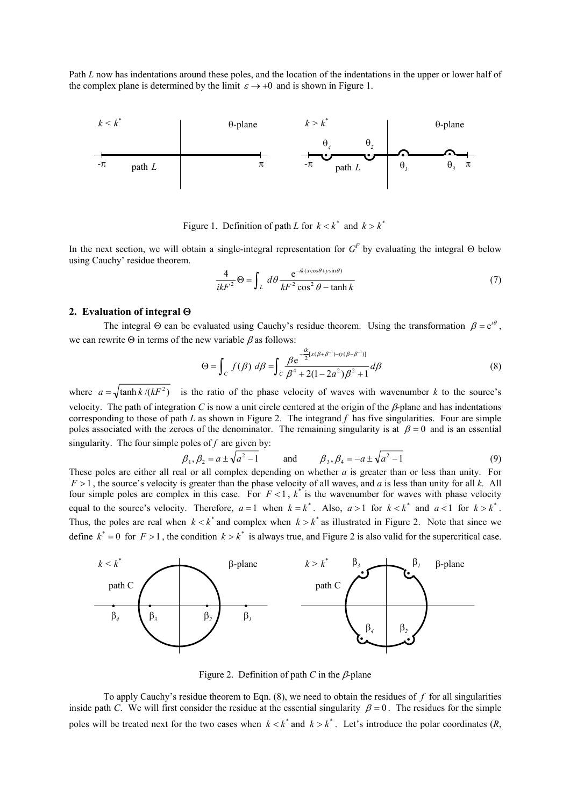Path *L* now has indentations around these poles, and the location of the indentations in the upper or lower half of the complex plane is determined by the limit  $\varepsilon \rightarrow +0$  and is shown in Figure 1.



Figure 1. Definition of path *L* for  $k < k^*$  and  $k > k^*$ 

In the next section, we will obtain a single-integral representation for  $G^F$  by evaluating the integral  $\Theta$  below using Cauchy' residue theorem.

$$
\frac{4}{ikF^2} \Theta = \int_L d\theta \frac{e^{-ik(x\cos\theta + y\sin\theta)}}{kF^2 \cos^2\theta - \tanh k}
$$
(7)

#### **2. Evaluation of integral** Θ

The integral  $\Theta$  can be evaluated using Cauchy's residue theorem. Using the transformation  $\beta = e^{i\theta}$ , we can rewrite  $\Theta$  in terms of the new variable  $\beta$  as follows:

$$
\Theta = \int_C f(\beta) \, d\beta = \int_C \frac{\beta e^{-\frac{ik}{2} [x(\beta + \beta^{-1}) - iy(\beta - \beta^{-1})]}}{\beta^4 + 2(1 - 2a^2)\beta^2 + 1} d\beta \tag{8}
$$

where  $a = \sqrt{\tanh k/(kF^2)}$  is the ratio of the phase velocity of waves with wavenumber *k* to the source's velocity. The path of integration *C* is now a unit circle centered at the origin of the  $\beta$ -plane and has indentations corresponding to those of path *L* as shown in Figure 2. The integrand *f* has five singularities. Four are simple poles associated with the zeroes of the denominator. The remaining singularity is at  $\beta = 0$  and is an essential singularity. The four simple poles of *f* are given by:

$$
\beta_1, \beta_2 = a \pm \sqrt{a^2 - 1}
$$
 and  $\beta_3, \beta_4 = -a \pm \sqrt{a^2 - 1}$  (9)

These poles are either all real or all complex depending on whether *a* is greater than or less than unity. For *F* > 1 , the source's velocity is greater than the phase velocity of all waves, and *a* is less than unity for all *k*. All four simple poles are complex in this case. For  $F < 1$ ,  $k^*$  is the wavenumber for waves with phase velocity equal to the source's velocity. Therefore,  $a = 1$  when  $k = k^*$ . Also,  $a > 1$  for  $k < k^*$  and  $a < 1$  for  $k > k^*$ . Thus, the poles are real when  $k < k^*$  and complex when  $k > k^*$  as illustrated in Figure 2. Note that since we define  $k^* = 0$  for  $F > 1$ , the condition  $k > k^*$  is always true, and Figure 2 is also valid for the supercritical case.



Figure 2. Definition of path  $C$  in the  $\beta$ -plane

To apply Cauchy's residue theorem to Eqn. (8), we need to obtain the residues of *f* for all singularities inside path *C*. We will first consider the residue at the essential singularity  $\beta = 0$ . The residues for the simple poles will be treated next for the two cases when  $k < k^*$  and  $k > k^*$ . Let's introduce the polar coordinates  $(R, k^*)$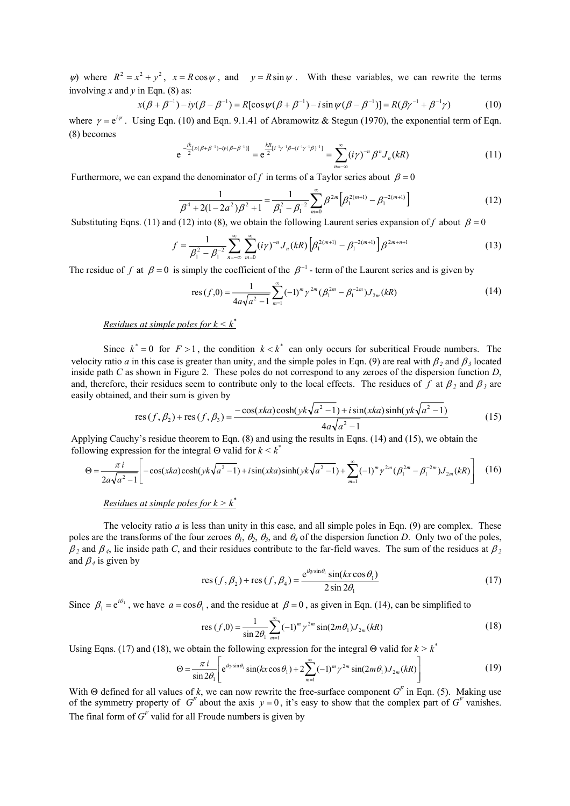$\psi$ ) where  $R^2 = x^2 + y^2$ ,  $x = R \cos \psi$ , and  $y = R \sin \psi$ . With these variables, we can rewrite the terms involving *x* and *y* in Eqn. (8) as:

$$
x(\beta + \beta^{-1}) - iy(\beta - \beta^{-1}) = R[\cos \psi(\beta + \beta^{-1}) - i \sin \psi(\beta - \beta^{-1})] = R(\beta \gamma^{-1} + \beta^{-1} \gamma)
$$
(10)

where  $\gamma = e^{i\psi}$ . Using Eqn. (10) and Eqn. 9.1.41 of Abramowitz & Stegun (1970), the exponential term of Eqn. (8) becomes

$$
e^{-\frac{ik}{2}[x(\beta+\beta^{-1})-iy(\beta-\beta^{-1})]} = e^{\frac{kR}{2}[i^{-1}\gamma^{-1}\beta-(i^{-1}\gamma^{-1}\beta)^{-1}]} = \sum_{n=-\infty}^{\infty} (i\gamma)^{-n} \beta^{n} J_{n}(kR)
$$
 (11)

Furthermore, we can expand the denominator of f in terms of a Taylor series about  $\beta = 0$ 

$$
\frac{1}{\beta^4 + 2(1 - 2a^2)\beta^2 + 1} = \frac{1}{\beta_1^2 - \beta_1^{-2}} \sum_{m=0}^{\infty} \beta^{2m} \left[ \beta_1^{2(m+1)} - \beta_1^{-2(m+1)} \right]
$$
(12)

Substituting Eqns. (11) and (12) into (8), we obtain the following Laurent series expansion of *f* about  $\beta = 0$ 

$$
f = \frac{1}{\beta_1^2 - \beta_1^{-2}} \sum_{n=-\infty}^{\infty} \sum_{m=0}^{\infty} (i\gamma)^{-n} J_n(kR) \left[ \beta_1^{2(m+1)} - \beta_1^{-2(m+1)} \right] \beta^{2m+n+1}
$$
 (13)

The residue of *f* at  $\beta = 0$  is simply the coefficient of the  $\beta^{-1}$  - term of the Laurent series and is given by

res 
$$
(f,0) = \frac{1}{4a\sqrt{a^2 - 1}} \sum_{m=1}^{\infty} (-1)^m \gamma^{2m} (\beta_1^{2m} - \beta_1^{-2m}) J_{2m}(kR)
$$
 (14)

Residues at simple poles for 
$$
k \leq k^*
$$

Since  $k^* = 0$  for  $F > 1$ , the condition  $k < k^*$  can only occurs for subcritical Froude numbers. The velocity ratio *a* in this case is greater than unity, and the simple poles in Eqn. (9) are real with  $\beta_2$  and  $\beta_3$  located inside path *C* as shown in Figure 2. These poles do not correspond to any zeroes of the dispersion function *D*, and, therefore, their residues seem to contribute only to the local effects. The residues of *f* at  $\beta$ <sub>2</sub> and  $\beta$ <sub>3</sub> are easily obtained, and their sum is given by

res 
$$
(f, \beta_2)
$$
 + res  $(f, \beta_3)$  = 
$$
\frac{-\cos(xka)\cosh(yk\sqrt{a^2 - 1}) + i\sin(xka)\sinh(yk\sqrt{a^2 - 1})}{4a\sqrt{a^2 - 1}}
$$
(15)

Applying Cauchy's residue theorem to Eqn. (8) and using the results in Eqns. (14) and (15), we obtain the following expression for the integral Θ valid for *k < k\**

$$
\Theta = \frac{\pi i}{2a\sqrt{a^2 - 1}} \left[ -\cos(xka)\cosh(yk\sqrt{a^2 - 1}) + i\sin(xka)\sinh(yk\sqrt{a^2 - 1}) + \sum_{m=1}^{\infty} (-1)^m \gamma^{2m} (\beta_1^{2m} - \beta_1^{-2m}) J_{2m}(kR) \right] (16)
$$

*Residues at simple poles for k > k\**

The velocity ratio  $a$  is less than unity in this case, and all simple poles in Eqn. (9) are complex. These poles are the transforms of the four zeroes  $\theta_1$ ,  $\theta_2$ ,  $\theta_3$ , and  $\theta_4$  of the dispersion function *D*. Only two of the poles,  $β_2$  and  $β_4$ , lie inside path *C*, and their residues contribute to the far-field waves. The sum of the residues at  $β_2$ and  $\beta_4$  is given by

res 
$$
(f, \beta_2)
$$
 + res  $(f, \beta_4)$  = 
$$
\frac{e^{iky\sin\theta_1} \sin(kx\cos\theta_1)}{2\sin 2\theta_1}
$$
 (17)

Since  $\beta_1 = e^{i\theta_1}$ , we have  $a = \cos\theta_1$ , and the residue at  $\beta = 0$ , as given in Eqn. (14), can be simplified to

res 
$$
(f,0) = {1 \over \sin 2\theta_1} \sum_{m=1}^{\infty} (-1)^m \gamma^{2m} \sin(2m\theta_1) J_{2m}(kR)
$$
 (18)

Using Eqns. (17) and (18), we obtain the following expression for the integral  $\Theta$  valid for  $k > k^*$ 

$$
\Theta = \frac{\pi i}{\sin 2\theta_1} \left[ e^{iky\sin\theta_1} \sin(kx\cos\theta_1) + 2\sum_{m=1}^{\infty} (-1)^m \gamma^{2m} \sin(2m\theta_1) J_{2m}(kR) \right]
$$
(19)

of the symmetry property of *G<sup>F</sup>* about the axis  $y = 0$ , it's easy to show that the complex part of *G<sup>F</sup>* vanishes. With  $\Theta$  defined for all values of *k*, we can now rewrite the free-surface component  $G^F$  in Eqn. (5). Making use The final form of  $G^F$  valid for all Froude numbers is given by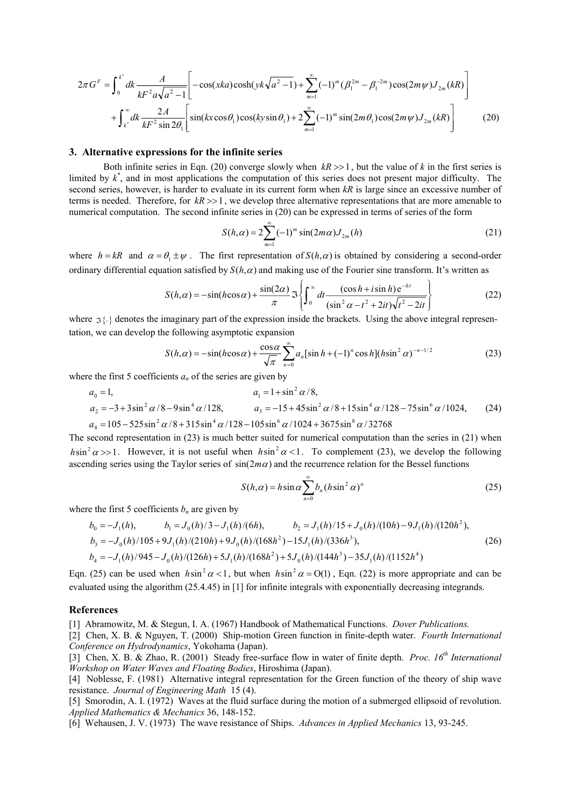$$
2\pi G^{F} = \int_{0}^{k^{*}} dk \frac{A}{kF^{2}a\sqrt{a^{2}-1}} \left[ -\cos(xka)\cosh(yk\sqrt{a^{2}-1}) + \sum_{m=1}^{\infty} (-1)^{m}(\beta_{1}^{2m} - \beta_{1}^{-2m})\cos(2m\psi)J_{2m}(kR) \right]
$$
  
+ 
$$
\int_{k^{*}}^{\infty} dk \frac{2A}{kF^{2}\sin 2\theta_{1}} \left[ \sin(kx\cos\theta_{1})\cos(ky\sin\theta_{1}) + 2\sum_{m=1}^{\infty} (-1)^{m} \sin(2m\theta_{1})\cos(2m\psi)J_{2m}(kR) \right]
$$
(20)

#### **3. Alternative expressions for the infinite series**

Both infinite series in Eqn. (20) converge slowly when  $kR \gg 1$ , but the value of *k* in the first series is limited by  $k^*$ , and in most applications the computation of this series does not present major difficulty. The second series, however, is harder to evaluate in its current form when *kR* is large since an excessive number of terms is needed. Therefore, for  $kR \gg 1$ , we develop three alternative representations that are more amenable to numerical computation. The second infinite series in (20) can be expressed in terms of series of the form

$$
S(h,\alpha) = 2\sum_{m=1}^{\infty} (-1)^m \sin(2m\alpha) J_{2m}(h)
$$
 (21)

where  $h = kR$  and  $\alpha = \theta_1 \pm \psi$ . The first representation of  $S(h, \alpha)$  is obtained by considering a second-order ordinary differential equation satisfied by  $S(h, \alpha)$  and making use of the Fourier sine transform. It's written as

$$
S(h,\alpha) = -\sin(h\cos\alpha) + \frac{\sin(2\alpha)}{\pi} \Im \left\{ \int_0^\infty dt \frac{(\cos h + i\sin h)e^{-ht}}{(\sin^2\alpha - t^2 + 2it)\sqrt{t^2 - 2it}} \right\}
$$
(22)

where  $\sigma\$ \} denotes the imaginary part of the expression inside the brackets. Using the above integral representation, we can develop the following asymptotic expansion

$$
S(h,\alpha) = -\sin(h\cos\alpha) + \frac{\cos\alpha}{\sqrt{\pi}} \sum_{n=0}^{\infty} a_n [\sin h + (-1)^n \cos h](h\sin^2\alpha)^{-n-1/2}
$$
 (23)

where the first 5 coefficients  $a_n$  of the series are given by

$$
a_0 = 1,
$$
  
\n
$$
a_1 = 1 + \sin^2 \alpha / 8,
$$
  
\n
$$
a_2 = -3 + 3\sin^2 \alpha / 8 - 9\sin^4 \alpha / 128,
$$
  
\n
$$
a_3 = -15 + 45\sin^2 \alpha / 8 + 15\sin^4 \alpha / 128 - 75\sin^6 \alpha / 1024,
$$
  
\n
$$
a_4 = 105 - 525\sin^2 \alpha / 8 + 315\sin^4 \alpha / 128 - 105\sin^6 \alpha / 1024 + 3675\sin^8 \alpha / 32768
$$
\n(24)

The second representation in (23) is much better suited for numerical computation than the series in (21) when  $h\sin^2\alpha$  >>1. However, it is not useful when  $h\sin^2\alpha$  <1. To complement (23), we develop the following ascending series using the Taylor series of sin(2*m*α) and the recurrence relation for the Bessel functions

$$
S(h,\alpha) = h \sin \alpha \sum_{n=0}^{\infty} b_n (h \sin^2 \alpha)^n
$$
 (25)

where the first 5 coefficients  $b_n$  are given by

$$
b_0 = -J_1(h), \t b_1 = J_0(h)/3 - J_1(h)/(6h), \t b_2 = J_1(h)/15 + J_0(h)/(10h) - 9J_1(h)/(120h^2),
$$
  
\n
$$
b_3 = -J_0(h)/105 + 9J_1(h)/(210h) + 9J_0(h)/(168h^2) - 15J_1(h)/(336h^3),
$$
  
\n
$$
b_4 = -J_1(h)/945 - J_0(h)/(126h) + 5J_1(h)/(168h^2) + 5J_0(h)/(144h^3) - 35J_1(h)/(1152h^4)
$$
\n(26)

Eqn. (25) can be used when  $h\sin^2\alpha < 1$ , but when  $h\sin^2\alpha = O(1)$ , Eqn. (22) is more appropriate and can be evaluated using the algorithm (25.4.45) in [1] for infinite integrals with exponentially decreasing integrands.

#### **References**

[1] Abramowitz, M. & Stegun, I. A. (1967) Handbook of Mathematical Functions. *Dover Publications.*

[2] Chen, X. B. & Nguyen, T. (2000) Ship-motion Green function in finite-depth water. *Fourth International Conference on Hydrodynamics*, Yokohama (Japan).

[3] Chen, X. B. & Zhao, R. (2001) Steady free-surface flow in water of finite depth. *Proc. 16th International Workshop on Water Waves and Floating Bodies*, Hiroshima (Japan).

[4] Noblesse, F. (1981) Alternative integral representation for the Green function of the theory of ship wave resistance. *Journal of Engineering Math* 15 (4).

[5] Smorodin, A. I. (1972) Waves at the fluid surface during the motion of a submerged ellipsoid of revolution. *Applied Mathematics & Mechanics* 36, 148-152.

[6] Wehausen, J. V. (1973) The wave resistance of Ships. *Advances in Applied Mechanics* 13, 93-245.